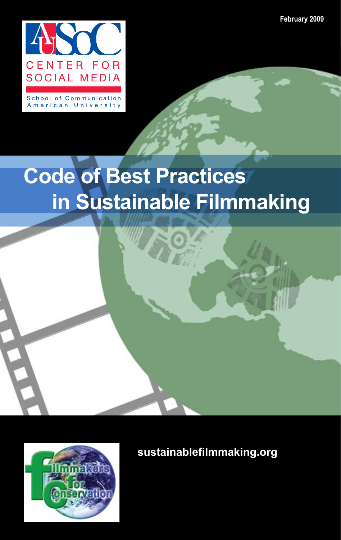**February 2009**



School of Communication American University

# **Code of Best Practices in Sustainable Filmmaking**



**sustainablefilmmaking.org**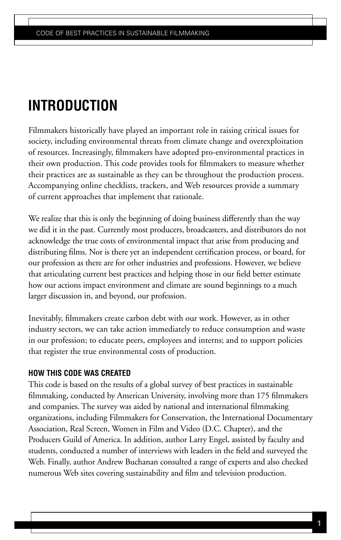## **INTRODUCTION**

Filmmakers historically have played an important role in raising critical issues for society, including environmental threats from climate change and overexploitation of resources. Increasingly, filmmakers have adopted pro-environmental practices in their own production. This code provides tools for filmmakers to measure whether their practices are as sustainable as they can be throughout the production process. Accompanying online checklists, trackers, and Web resources provide a summary of current approaches that implement that rationale.

We realize that this is only the beginning of doing business differently than the way we did it in the past. Currently most producers, broadcasters, and distributors do not acknowledge the true costs of environmental impact that arise from producing and distributing films. Nor is there yet an independent certification process, or board, for our profession as there are for other industries and professions. However, we believe that articulating current best practices and helping those in our field better estimate how our actions impact environment and climate are sound beginnings to a much larger discussion in, and beyond, our profession.

Inevitably, filmmakers create carbon debt with our work. However, as in other industry sectors, we can take action immediately to reduce consumption and waste in our profession; to educate peers, employees and interns; and to support policies that register the true environmental costs of production.

#### **HOW THIS CODE WAS CREATED**

This code is based on the results of a global survey of best practices in sustainable filmmaking, conducted by American University, involving more than 175 filmmakers and companies. The survey was aided by national and international filmmaking organizations, including Filmmakers for Conservation, the International Documentary Association, Real Screen, Women in Film and Video (D.C. Chapter), and the Producers Guild of America. In addition, author Larry Engel, assisted by faculty and students, conducted a number of interviews with leaders in the field and surveyed the Web. Finally, author Andrew Buchanan consulted a range of experts and also checked numerous Web sites covering sustainability and film and television production.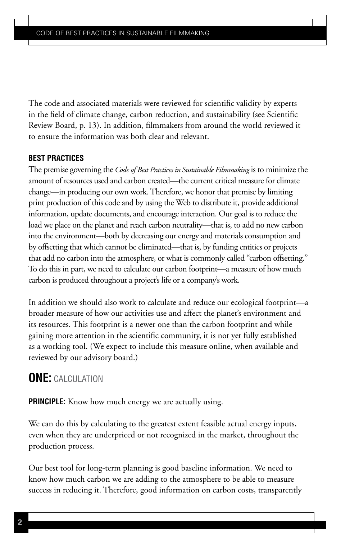The code and associated materials were reviewed for scientific validity by experts in the field of climate change, carbon reduction, and sustainability (see Scientific Review Board, p. 13). In addition, filmmakers from around the world reviewed it to ensure the information was both clear and relevant.

#### **BEST PRACTICES**

The premise governing the *Code of Best Practices in Sustainable Filmmaking* is to minimize the amount of resources used and carbon created—the current critical measure for climate change—in producing our own work. Therefore, we honor that premise by limiting print production of this code and by using the Web to distribute it, provide additional information, update documents, and encourage interaction. Our goal is to reduce the load we place on the planet and reach carbon neutrality—that is, to add no new carbon into the environment—both by decreasing our energy and materials consumption and by offsetting that which cannot be eliminated—that is, by funding entities or projects that add no carbon into the atmosphere, or what is commonly called "carbon offsetting." To do this in part, we need to calculate our carbon footprint—a measure of how much carbon is produced throughout a project's life or a company's work.

In addition we should also work to calculate and reduce our ecological footprint—a broader measure of how our activities use and affect the planet's environment and its resources. This footprint is a newer one than the carbon footprint and while gaining more attention in the scientific community, it is not yet fully established as a working tool. (We expect to include this measure online, when available and reviewed by our advisory board.)

### **ONE:** CALCULATION

**PRINCIPLE:** Know how much energy we are actually using.

We can do this by calculating to the greatest extent feasible actual energy inputs, even when they are underpriced or not recognized in the market, throughout the production process.

Our best tool for long-term planning is good baseline information. We need to know how much carbon we are adding to the atmosphere to be able to measure success in reducing it. Therefore, good information on carbon costs, transparently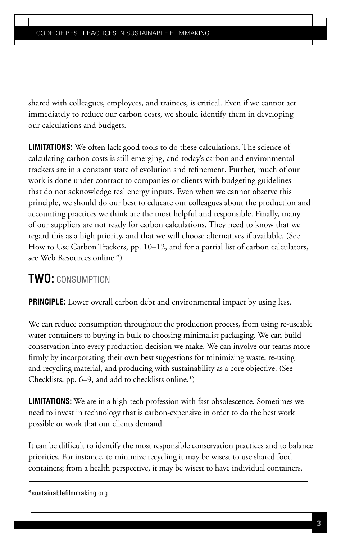shared with colleagues, employees, and trainees, is critical. Even if we cannot act immediately to reduce our carbon costs, we should identify them in developing our calculations and budgets.

**LIMITATIONS:** We often lack good tools to do these calculations. The science of calculating carbon costs is still emerging, and today's carbon and environmental trackers are in a constant state of evolution and refinement. Further, much of our work is done under contract to companies or clients with budgeting guidelines that do not acknowledge real energy inputs. Even when we cannot observe this principle, we should do our best to educate our colleagues about the production and accounting practices we think are the most helpful and responsible. Finally, many of our suppliers are not ready for carbon calculations. They need to know that we regard this as a high priority, and that we will choose alternatives if available. (See How to Use Carbon Trackers, pp. 10–12, and for a partial list of carbon calculators, see Web Resources online.\*)

### **TWO:** CONSUMPTION

**PRINCIPLE:** Lower overall carbon debt and environmental impact by using less.

We can reduce consumption throughout the production process, from using re-useable water containers to buying in bulk to choosing minimalist packaging. We can build conservation into every production decision we make. We can involve our teams more firmly by incorporating their own best suggestions for minimizing waste, re-using and recycling material, and producing with sustainability as a core objective. (See Checklists, pp. 6–9, and add to checklists online.\*)

**LIMITATIONS:** We are in a high-tech profession with fast obsolescence. Sometimes we need to invest in technology that is carbon-expensive in order to do the best work possible or work that our clients demand.

It can be difficult to identify the most responsible conservation practices and to balance priorities. For instance, to minimize recycling it may be wisest to use shared food containers; from a health perspective, it may be wisest to have individual containers.

#### \*sustainablefilmmaking.org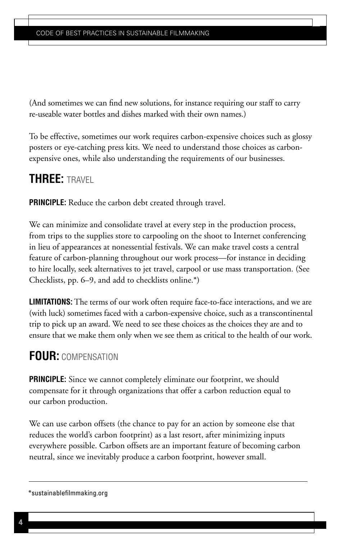(And sometimes we can find new solutions, for instance requiring our staff to carry re-useable water bottles and dishes marked with their own names.)

To be effective, sometimes our work requires carbon-expensive choices such as glossy posters or eye-catching press kits. We need to understand those choices as carbonexpensive ones, while also understanding the requirements of our businesses.

### **THREE:** TRAVEL

**PRINCIPLE:** Reduce the carbon debt created through travel.

We can minimize and consolidate travel at every step in the production process, from trips to the supplies store to carpooling on the shoot to Internet conferencing in lieu of appearances at nonessential festivals. We can make travel costs a central feature of carbon-planning throughout our work process—for instance in deciding to hire locally, seek alternatives to jet travel, carpool or use mass transportation. (See Checklists, pp. 6–9, and add to checklists online.\*)

**LIMITATIONS:** The terms of our work often require face-to-face interactions, and we are (with luck) sometimes faced with a carbon-expensive choice, such as a transcontinental trip to pick up an award. We need to see these choices as the choices they are and to ensure that we make them only when we see them as critical to the health of our work.

### **FOUR:** COMPENSATION

**PRINCIPLE:** Since we cannot completely eliminate our footprint, we should compensate for it through organizations that offer a carbon reduction equal to our carbon production.

We can use carbon offsets (the chance to pay for an action by someone else that reduces the world's carbon footprint) as a last resort, after minimizing inputs everywhere possible. Carbon offsets are an important feature of becoming carbon neutral, since we inevitably produce a carbon footprint, however small.

<sup>\*</sup>sustainablefilmmaking.org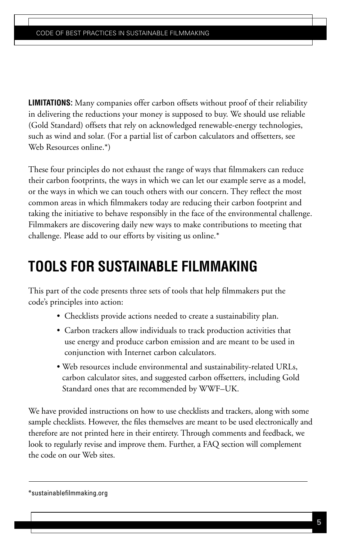**LIMITATIONS:** Many companies offer carbon offsets without proof of their reliability in delivering the reductions your money is supposed to buy. We should use reliable (Gold Standard) offsets that rely on acknowledged renewable-energy technologies, such as wind and solar. (For a partial list of carbon calculators and offsetters, see Web Resources online.\*)

These four principles do not exhaust the range of ways that filmmakers can reduce their carbon footprints, the ways in which we can let our example serve as a model, or the ways in which we can touch others with our concern. They reflect the most common areas in which filmmakers today are reducing their carbon footprint and taking the initiative to behave responsibly in the face of the environmental challenge. Filmmakers are discovering daily new ways to make contributions to meeting that challenge. Please add to our efforts by visiting us online.\*

### **TOOLS FOR SUSTAINABLE FILMMAKING**

This part of the code presents three sets of tools that help filmmakers put the code's principles into action:

- Checklists provide actions needed to create a sustainability plan.
- Carbon trackers allow individuals to track production activities that use energy and produce carbon emission and are meant to be used in conjunction with Internet carbon calculators.
- Web resources include environmental and sustainability-related URLs, carbon calculator sites, and suggested carbon offsetters, including Gold Standard ones that are recommended by WWF–UK.

We have provided instructions on how to use checklists and trackers, along with some sample checklists. However, the files themselves are meant to be used electronically and therefore are not printed here in their entirety. Through comments and feedback, we look to regularly revise and improve them. Further, a FAQ section will complement the code on our Web sites.

<sup>\*</sup>sustainablefilmmaking.org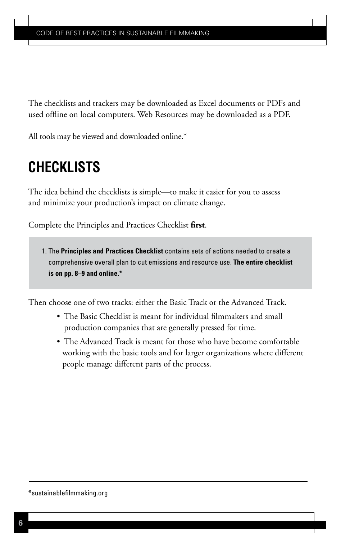The checklists and trackers may be downloaded as Excel documents or PDFs and used offline on local computers. Web Resources may be downloaded as a PDF.

All tools may be viewed and downloaded online.\*

### **CHECKLISTS**

The idea behind the checklists is simple—to make it easier for you to assess and minimize your production's impact on climate change.

Complete the Principles and Practices Checklist **first**.

1. The **Principles and Practices Checklist** contains sets of actions needed to create a comprehensive overall plan to cut emissions and resource use. **The entire checklist is on pp. 8–9 and online.\***

Then choose one of two tracks: either the Basic Track or the Advanced Track.

- The Basic Checklist is meant for individual filmmakers and small production companies that are generally pressed for time.
- The Advanced Track is meant for those who have become comfortable working with the basic tools and for larger organizations where different people manage different parts of the process.

#### \*sustainablefilmmaking.org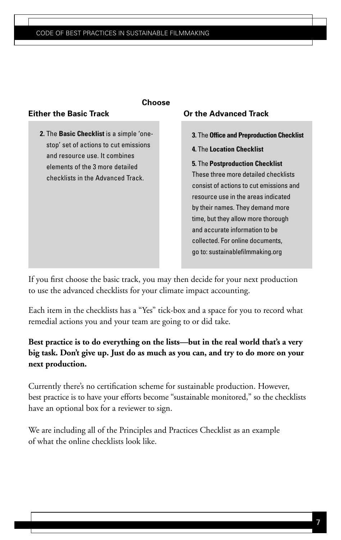#### **Choose**

#### **Either the Basic Track Or the Advanced Track**

**2.** The **Basic Checklist** is a simple 'onestop' set of actions to cut emissions and resource use. It combines elements of the 3 more detailed checklists in the Advanced Track.

- **3.** The **Office and Preproduction Checklist**
- **4.** The **Location Checklist**

**5.** The **Postproduction Checklist** These three more detailed checklists consist of actions to cut emissions and resource use in the areas indicated by their names. They demand more time, but they allow more thorough and accurate information to be collected. For online documents, go to: sustainablefilmmaking.org

If you first choose the basic track, you may then decide for your next production to use the advanced checklists for your climate impact accounting.

Each item in the checklists has a "Yes" tick-box and a space for you to record what remedial actions you and your team are going to or did take.

#### **Best practice is to do everything on the lists—but in the real world that's a very big task. Don't give up. Just do as much as you can, and try to do more on your next production.**

Currently there's no certification scheme for sustainable production. However, best practice is to have your efforts become "sustainable monitored," so the checklists have an optional box for a reviewer to sign.

We are including all of the Principles and Practices Checklist as an example of what the online checklists look like.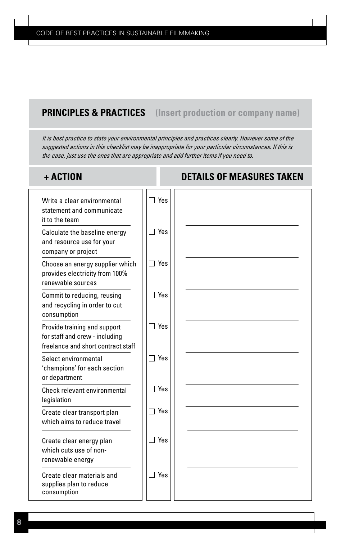#### **PRINCIPLES & PRACTICES (Insert production or company name)**

It is best practice to state your environmental principles and practices clearly. However some of the suggested actions in this checklist may be inappropriate for your particular circumstances. If this is the case, just use the ones that are appropriate and add further items if you need to.

#### **+ ACTION DETAILS OF MEASURES TAKEN**

#### $\Box$  Yes □ Yes Yes Yes  $\Box$  Yes Yes Yes Yes □ Yes  $\Box$  Yes Write a clear environmental statement and communicate it to the team Calculate the baseline energy and resource use for your company or project Choose an energy supplier which provides electricity from 100% renewable sources Commit to reducing, reusing and recycling in order to cut consumption Provide training and support for staff and crew - including freelance and short contract staff Select environmental 'champions' for each section or department Check relevant environmental legislation Create clear transport plan which aims to reduce travel Create clear energy plan which cuts use of nonrenewable energy Create clear materials and supplies plan to reduce consumption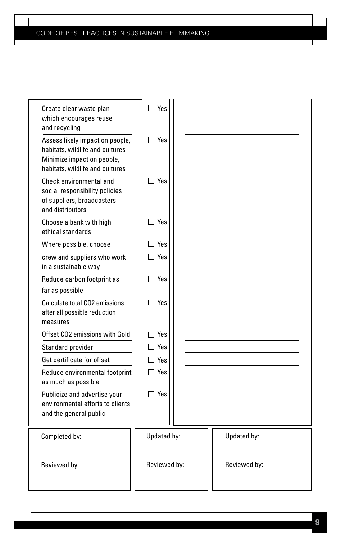| Create clear waste plan<br>which encourages reuse<br>and recycling                                                                  | ∐ Yes        |              |
|-------------------------------------------------------------------------------------------------------------------------------------|--------------|--------------|
| Assess likely impact on people,<br>habitats, wildlife and cultures<br>Minimize impact on people,<br>habitats, wildlife and cultures | $\Box$ Yes   |              |
| Check environmental and<br>social responsibility policies<br>of suppliers, broadcasters<br>and distributors                         | $\Box$ Yes   |              |
| Choose a bank with high<br>ethical standards                                                                                        | $\Box$ Yes   |              |
| Where possible, choose                                                                                                              | $\Box$ Yes   |              |
| crew and suppliers who work<br>in a sustainable way                                                                                 | $\Box$ Yes   |              |
| Reduce carbon footprint as<br>far as possible                                                                                       | $\Box$ Yes   |              |
| Calculate total CO2 emissions<br>after all possible reduction<br>measures                                                           | $\Box$ Yes   |              |
| Offset CO2 emissions with Gold                                                                                                      | $\Box$ Yes   |              |
| Standard provider                                                                                                                   | $\Box$ Yes   |              |
| Get certificate for offset                                                                                                          | $\Box$ Yes   |              |
| Reduce environmental footprint<br>as much as possible                                                                               | $\Box$ Yes   |              |
| Publicize and advertise your<br>environmental efforts to clients<br>and the general public                                          | $\Box$ Yes   |              |
| Completed by:                                                                                                                       | Updated by:  | Updated by:  |
| Reviewed by:                                                                                                                        | Reviewed by: | Reviewed by: |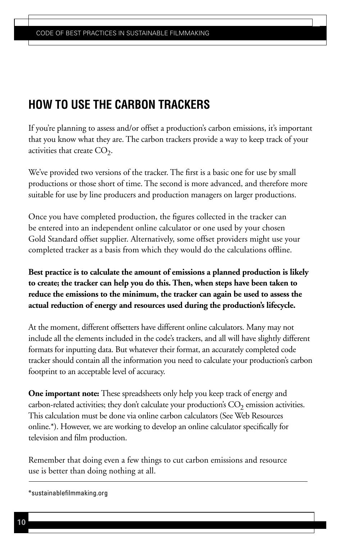### **HOW TO USE THE CARBON TRACKERS**

If you're planning to assess and/or offset a production's carbon emissions, it's important that you know what they are. The carbon trackers provide a way to keep track of your activities that create  $CO<sub>2</sub>$ .

We've provided two versions of the tracker. The first is a basic one for use by small productions or those short of time. The second is more advanced, and therefore more suitable for use by line producers and production managers on larger productions.

Once you have completed production, the figures collected in the tracker can be entered into an independent online calculator or one used by your chosen Gold Standard offset supplier. Alternatively, some offset providers might use your completed tracker as a basis from which they would do the calculations offline.

### **Best practice is to calculate the amount of emissions a planned production is likely to create; the tracker can help you do this. Then, when steps have been taken to reduce the emissions to the minimum, the tracker can again be used to assess the actual reduction of energy and resources used during the production's lifecycle.**

At the moment, different offsetters have different online calculators. Many may not include all the elements included in the code's trackers, and all will have slightly different formats for inputting data. But whatever their format, an accurately completed code tracker should contain all the information you need to calculate your production's carbon footprint to an acceptable level of accuracy.

**One important note:** These spreadsheets only help you keep track of energy and carbon-related activities; they don't calculate your production's  $CO<sub>2</sub>$  emission activities. This calculation must be done via online carbon calculators (See Web Resources online.\*). However, we are working to develop an online calculator specifically for television and film production.

Remember that doing even a few things to cut carbon emissions and resource use is better than doing nothing at all.

\*sustainablefilmmaking.org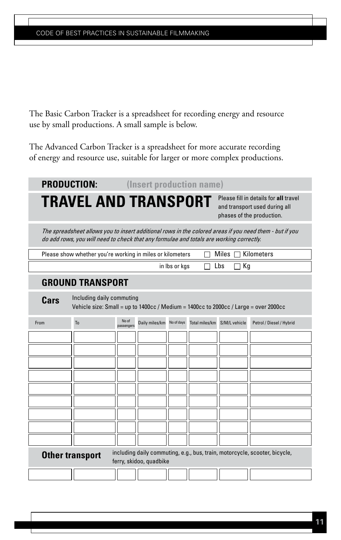**TRAVEL AND TRANSPORT** 

The Basic Carbon Tracker is a spreadsheet for recording energy and resource use by small productions. A small sample is below.

The Advanced Carbon Tracker is a spreadsheet for more accurate recording of energy and resource use, suitable for larger or more complex productions.

**PRODUCTION: (Insert production name)**

Please fill in details for **all** travel and transport used during all phases of the production.

The spreadsheet allows you to insert additional rows in the colored areas if you need them - but if you do add rows, you will need to check that any formulae and totals are working correctly.

Please show whether you're working in miles or kilometers  $\Box$  Miles  $\Box$  Kilometers

### **GROUND TRANSPORT**

Cars **Including daily commuting** 

Vehicle size: Small = up to 1400cc / Medium = 1400cc to 2000cc / Large = over 2000cc

in Ibs or kgs  $\Box$  Lbs  $\Box$  Kg

| From                                                                                                 | To | No of<br>passengers | Daily miles/km | No of days | Total miles/km | S/M/L vehicle | Petrol / Diesel / Hybrid |
|------------------------------------------------------------------------------------------------------|----|---------------------|----------------|------------|----------------|---------------|--------------------------|
|                                                                                                      |    |                     |                |            |                |               |                          |
|                                                                                                      |    |                     |                |            |                |               |                          |
|                                                                                                      |    |                     |                |            |                |               |                          |
|                                                                                                      |    |                     |                |            |                |               |                          |
|                                                                                                      |    |                     |                |            |                |               |                          |
|                                                                                                      |    |                     |                |            |                |               |                          |
|                                                                                                      |    |                     |                |            |                |               |                          |
|                                                                                                      |    |                     |                |            |                |               |                          |
|                                                                                                      |    |                     |                |            |                |               |                          |
| including daily commuting, e.g., bus, train, motorcycle, scooter, bicycle,<br><b>Other transport</b> |    |                     |                |            |                |               |                          |
| ferry, skidoo, quadbike                                                                              |    |                     |                |            |                |               |                          |
|                                                                                                      |    |                     |                |            |                |               |                          |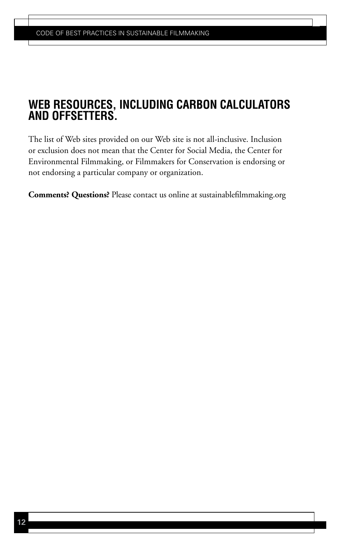### **WEB RESOURCES, INCLUDING CARBON CALCULATORS AND OFFSETTERS.**

The list of Web sites provided on our Web site is not all-inclusive. Inclusion or exclusion does not mean that the Center for Social Media, the Center for Environmental Filmmaking, or Filmmakers for Conservation is endorsing or not endorsing a particular company or organization.

**Comments? Questions?** Please contact us online at sustainablefilmmaking.org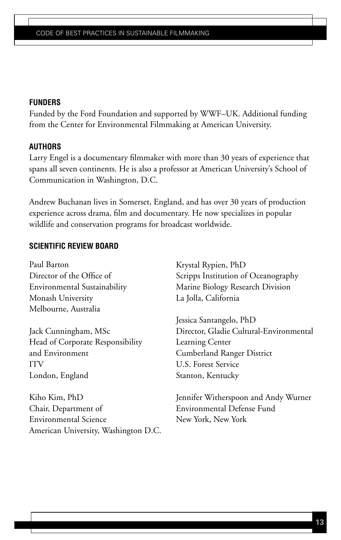#### **FUNDERS**

Funded by the Ford Foundation and supported by WWF–UK. Additional funding from the Center for Environmental Filmmaking at American University.

#### **AUTHORS**

Larry Engel is a documentary filmmaker with more than 30 years of experience that spans all seven continents. He is also a professor at American University's School of Communication in Washington, D.C.

Andrew Buchanan lives in Somerset, England, and has over 30 years of production experience across drama, film and documentary. He now specializes in popular wildlife and conservation programs for broadcast worldwide.

#### **SCIENTIFIC REVIEW BOARD**

| Paul Barton                          | Krystal Rypien, PhD                     |
|--------------------------------------|-----------------------------------------|
| Director of the Office of            | Scripps Institution of Oceanography     |
| Environmental Sustainability         | Marine Biology Research Division        |
| Monash University                    | La Jolla, California                    |
| Melbourne, Australia                 |                                         |
|                                      | Jessica Santangelo, PhD                 |
| Jack Cunningham, MSc                 | Director, Gladie Cultural-Environmental |
| Head of Corporate Responsibility     | Learning Center                         |
| and Environment                      | <b>Cumberland Ranger District</b>       |
| <b>ITV</b>                           | U.S. Forest Service                     |
| London, England                      | Stanton, Kentucky                       |
| Kiho Kim, PhD                        | Jennifer Witherspoon and Andy Wurner    |
| Chair, Department of                 | <b>Environmental Defense Fund</b>       |
| <b>Environmental Science</b>         | New York, New York                      |
| American University, Washington D.C. |                                         |
|                                      |                                         |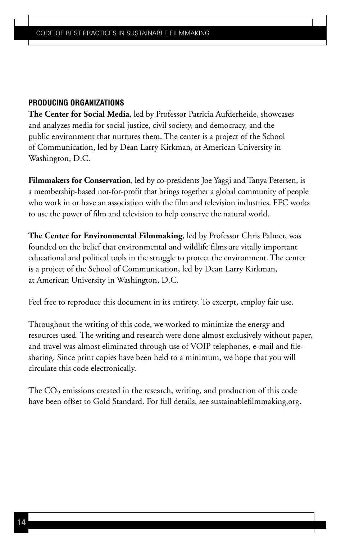#### **PRODUCING ORGANIZATIONS**

**The Center for Social Media**, led by Professor Patricia Aufderheide, showcases and analyzes media for social justice, civil society, and democracy, and the public environment that nurtures them. The center is a project of the School of Communication, led by Dean Larry Kirkman, at American University in Washington, D.C.

**Filmmakers for Conservation**, led by co-presidents Joe Yaggi and Tanya Petersen, is a membership-based not-for-profit that brings together a global community of people who work in or have an association with the film and television industries. FFC works to use the power of film and television to help conserve the natural world.

**The Center for Environmental Filmmaking**, led by Professor Chris Palmer, was founded on the belief that environmental and wildlife films are vitally important educational and political tools in the struggle to protect the environment. The center is a project of the School of Communication, led by Dean Larry Kirkman, at American University in Washington, D.C.

Feel free to reproduce this document in its entirety. To excerpt, employ fair use.

Throughout the writing of this code, we worked to minimize the energy and resources used. The writing and research were done almost exclusively without paper, and travel was almost eliminated through use of VOIP telephones, e-mail and filesharing. Since print copies have been held to a minimum, we hope that you will circulate this code electronically.

The  $CO<sub>2</sub>$  emissions created in the research, writing, and production of this code have been offset to Gold Standard. For full details, see sustainablefilmmaking.org.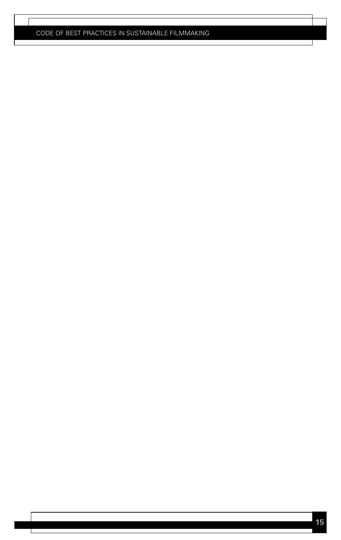τ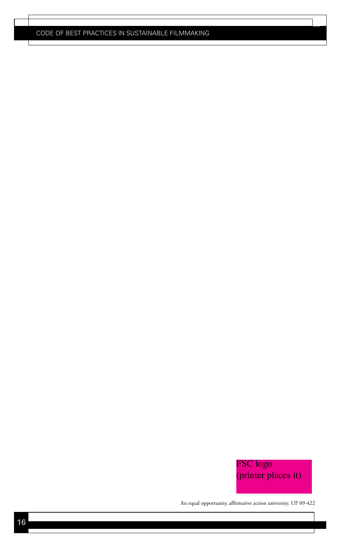

┓

An equal opportunity, affirmative action university. UP 09-422